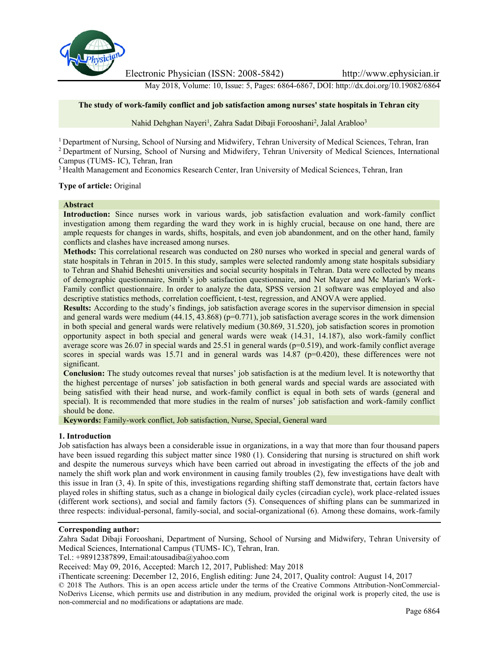

Electronic Physician (ISSN: 2008-5842) http://www.ephysician.ir

May 2018, Volume: 10, Issue: 5, Pages: 6864-6867, DOI: http://dx.doi.org/10.19082/6864

## **The study of work-family conflict and job satisfaction among nurses' state hospitals in Tehran city**

Nahid Dehghan Nayeri<sup>1</sup>, Zahra Sadat Dibaji Forooshani<sup>2</sup>, Jalal Arabloo<sup>3</sup>

<sup>1</sup> Department of Nursing, School of Nursing and Midwifery, Tehran University of Medical Sciences, Tehran, Iran <sup>2</sup> Department of Nursing, School of Nursing and Midwifery, Tehran University of Medical Sciences, International Campus (TUMS- IC), Tehran, Iran

<sup>3</sup> Health Management and Economics Research Center, Iran University of Medical Sciences, Tehran, Iran

#### **Type of article:** Original

#### **Abstract**

**Introduction:** Since nurses work in various wards, job satisfaction evaluation and work-family conflict investigation among them regarding the ward they work in is highly crucial, because on one hand, there are ample requests for changes in wards, shifts, hospitals, and even job abandonment, and on the other hand, family conflicts and clashes have increased among nurses.

**Methods:** This correlational research was conducted on 280 nurses who worked in special and general wards of state hospitals in Tehran in 2015. In this study, samples were selected randomly among state hospitals subsidiary to Tehran and Shahid Beheshti universities and social security hospitals in Tehran. Data were collected by means of demographic questionnaire, Smith's job satisfaction questionnaire, and Net Mayer and Mc Marian's Work- Family conflict questionnaire. In order to analyze the data, SPSS version 21 software was employed and also descriptive statistics methods, correlation coefficient, t-test, regression, and ANOVA were applied.

**Results:** According to the study's findings, job satisfaction average scores in the supervisor dimension in special and general wards were medium  $(44.15, 43.868)$  ( $p=0.771$ ), job satisfaction average scores in the work dimension in both special and general wards were relatively medium (30.869, 31.520), job satisfaction scores in promotion opportunity aspect in both special and general wards were weak (14.31, 14.187), also work-family conflict average score was 26.07 in special wards and 25.51 in general wards (p=0.519), and work-family conflict average scores in special wards was 15.71 and in general wards was  $14.87$  ( $p=0.420$ ), these differences were not significant.

**Conclusion:** The study outcomes reveal that nurses' job satisfaction is at the medium level. It is noteworthy that the highest percentage of nurses' job satisfaction in both general wards and special wards are associated with being satisfied with their head nurse, and work-family conflict is equal in both sets of wards (general and special). It is recommended that more studies in the realm of nurses' job satisfaction and work-family conflict should be done.

**Keywords:** Family-work conflict, Job satisfaction, Nurse, Special, General ward

#### **1. Introduction**

Job satisfaction has always been a considerable issue in organizations, in a way that more than four thousand papers have been issued regarding this subject matter since 1980 (1). Considering that nursing is structured on shift work and despite the numerous surveys which have been carried out abroad in investigating the effects of the job and namely the shift work plan and work environment in causing family troubles (2), few investigations have dealt with this issue in Iran (3, 4). In spite of this, investigations regarding shifting staff demonstrate that, certain factors have played roles in shifting status, such as a change in biological daily cycles (circadian cycle), work place-related issues (different work sections), and social and family factors (5). Consequences of shifting plans can be summarized in three respects: individual-personal, family-social, and social-organizational (6). Among these domains, work-family

#### **Corresponding author:**

Zahra Sadat Dibaji Forooshani, Department of Nursing, School of Nursing and Midwifery, Tehran University of Medical Sciences, International Campus (TUMS- IC), Tehran, Iran.

Tel.: +98912387899, Email:atousadiba@yahoo.com

Received: May 09, 2016, Accepted: March 12, 2017, Published: May 2018

iThenticate screening: December 12, 2016, English editing: June 24, 2017, Quality control: August 14, 2017

© 2018 The Authors. This is an open access article under the terms of the Creative Commons Attribution-NonCommercial- NoDerivs License, which permits use and distribution in any medium, provided the original work is properly cited, the use is non-commercial and no modifications or adaptations are made.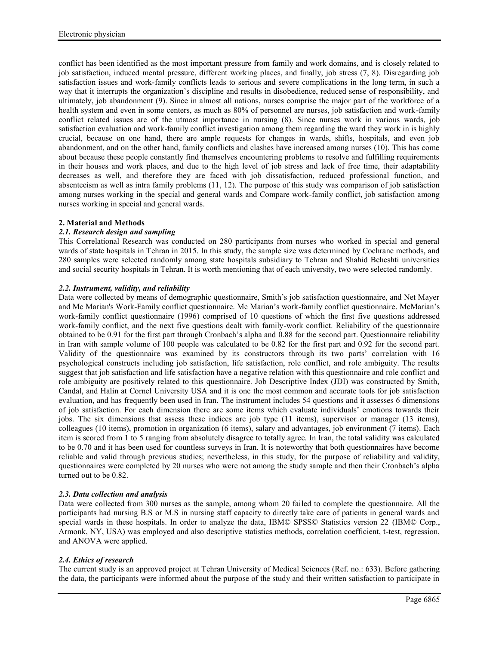conflict has been identified as the most important pressure from family and work domains, and is closely related to job satisfaction, induced mental pressure, different working places, and finally, job stress (7, 8). Disregarding job satisfaction issues and work-family conflicts leads to serious and severe complications in the long term, in such a way that it interrupts the organization's discipline and results in disobedience, reduced sense of responsibility, and ultimately, job abandonment (9). Since in almost all nations, nurses comprise the major part of the workforce of a health system and even in some centers, as much as 80% of personnel are nurses, job satisfaction and work-family conflict related issues are of the utmost importance in nursing (8). Since nurses work in various wards, job satisfaction evaluation and work-family conflict investigation among them regarding the ward they work in is highly crucial, because on one hand, there are ample requests for changes in wards, shifts, hospitals, and even job abandonment, and on the other hand, family conflicts and clashes have increased among nurses (10). This has come about because these people constantly find themselves encountering problems to resolve and fulfilling requirements in their houses and work places, and due to the high level of job stress and lack of free time, their adaptability decreases as well, and therefore they are faced with job dissatisfaction, reduced professional function, and absenteeism as well as intra family problems (11, 12). The purpose of this study was comparison of job satisfaction among nurses working in the special and general wards and Compare work-family conflict, job satisfaction among nurses working in special and general wards.

## **2. Material and Methods**

# *2.1. Research design and sampling*

This Correlational Research was conducted on 280 participants from nurses who worked in special and general wards of state hospitals in Tehran in 2015. In this study, the sample size was determined by Cochrane methods, and 280 samples were selected randomly among state hospitals subsidiary to Tehran and Shahid Beheshti universities and social security hospitals in Tehran. It is worth mentioning that of each university, two were selected randomly.

# *2.2. Instrument, validity, and reliability*

Data were collected by means of demographic questionnaire, Smith's job satisfaction questionnaire, and Net Mayer and Mc Marian's Work-Family conflict questionnaire. Mc Marian's work-family conflict questionnaire. McMarian's work-family conflict questionnaire (1996) comprised of 10 questions of which the first five questions addressed work-family conflict, and the next five questions dealt with family-work conflict. Reliability of the questionnaire obtained to be 0.91 for the first part through Cronbach's alpha and 0.88 for the second part. Questionnaire reliability in Iran with sample volume of 100 people was calculated to be 0.82 for the first part and 0.92 for the second part. Validity of the questionnaire was examined by its constructors through its two parts' correlation with 16 psychological constructs including job satisfaction, life satisfaction, role conflict, and role ambiguity. The results suggest that job satisfaction and life satisfaction have a negative relation with this questionnaire and role conflict and role ambiguity are positively related to this questionnaire. Job Descriptive Index (JDI) was constructed by Smith, Candal, and Halin at Cornel University USA and it is one the most common and accurate tools for job satisfaction evaluation, and has frequently been used in Iran. The instrument includes 54 questions and it assesses 6 dimensions of job satisfaction. For each dimension there are some items which evaluate individuals' emotions towards their jobs. The six dimensions that assess these indices are job type (11 items), supervisor or manager (13 items), colleagues (10 items), promotion in organization (6 items), salary and advantages, job environment (7 items). Each item is scored from 1 to 5 ranging from absolutely disagree to totally agree. In Iran, the total validity was calculated to be 0.70 and it has been used for countless surveys in Iran. It is noteworthy that both questionnaires have become reliable and valid through previous studies; nevertheless, in this study, for the purpose of reliability and validity, questionnaires were completed by 20 nurses who were not among the study sample and then their Cronbach's alpha turned out to be 0.82.

## *2.3. Data collection and analysis*

Data were collected from 300 nurses as the sample, among whom 20 failed to complete the questionnaire. All the participants had nursing B.S or M.S in nursing staff capacity to directly take care of patients in general wards and special wards in these hospitals. In order to analyze the data, IBM© SPSS© Statistics version 22 (IBM© Corp., Armonk, NY, USA) was employed and also descriptive statistics methods, correlation coefficient, t-test, regression, and ANOVA were applied.

## *2.4. Ethics of research*

The current study is an approved project at Tehran University of Medical Sciences (Ref. no.: 633). Before gathering the data, the participants were informed about the purpose of the study and their written satisfaction to participate in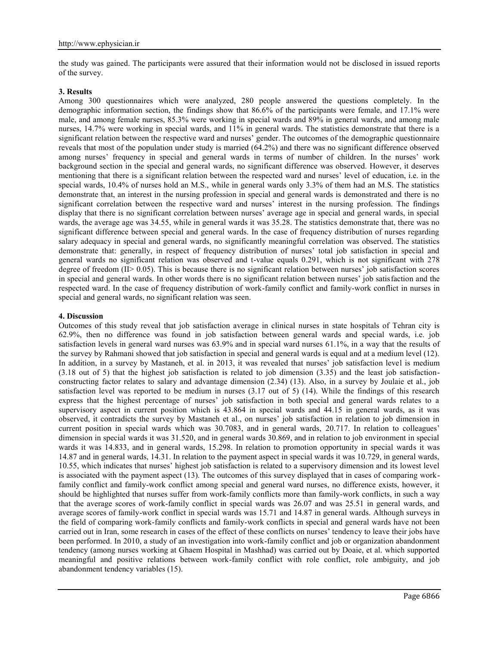the study was gained. The participants were assured that their information would not be disclosed in issued reports of the survey.

### **3. Results**

Among 300 questionnaires which were analyzed, 280 people answered the questions completely. In the demographic information section, the findings show that 86.6% of the participants were female, and 17.1% were male, and among female nurses, 85.3% were working in special wards and 89% in general wards, and among male nurses, 14.7% were working in special wards, and 11% in general wards. The statistics demonstrate that there is a significant relation between the respective ward and nurses' gender. The outcomes of the demographic questionnaire reveals that most of the population under study is married (64.2%) and there was no significant difference observed among nurses' frequency in special and general wards in terms of number of children. In the nurses' work background section in the special and general wards, no significant difference was observed. However, it deserves mentioning that there is a significant relation between the respected ward and nurses' level of education, i.e. in the special wards, 10.4% of nurses hold an M.S., while in general wards only 3.3% of them had an M.S. The statistics demonstrate that, an interest in the nursing profession in special and general wards is demonstrated and there is no significant correlation between the respective ward and nurses' interest in the nursing profession. The findings display that there is no significant correlation between nurses' average age in special and general wards, in special wards, the average age was 34.55, while in general wards it was 35.28. The statistics demonstrate that, there was no significant difference between special and general wards. In the case of frequency distribution of nurses regarding salary adequacy in special and general wards, no significantly meaningful correlation was observed. The statistics demonstrate that: generally, in respect of frequency distribution of nurses' total job satisfaction in special and general wards no significant relation was observed and t-value equals 0.291, which is not significant with 278 degree of freedom (II> 0.05). This is because there is no significant relation between nurses' job satisfaction scores in special and general wards. In other words there is no significant relation between nurses' job satisfaction and the respected ward. In the case of frequency distribution of work-family conflict and family-work conflict in nurses in special and general wards, no significant relation was seen.

### **4. Discussion**

Outcomes of this study reveal that job satisfaction average in clinical nurses in state hospitals of Tehran city is 62.9%, then no difference was found in job satisfaction between general wards and special wards, i.e. job satisfaction levels in general ward nurses was 63.9% and in special ward nurses 61.1%, in a way that the results of the survey by Rahmani showed that job satisfaction in special and general wards is equal and at a medium level (12). In addition, in a survey by Mastaneh, et al. in 2013, it was revealed that nurses' job satisfaction level is medium (3.18 out of 5) that the highest job satisfaction is related to job dimension (3.35) and the least job satisfaction constructing factor relates to salary and advantage dimension (2.34) (13). Also, in a survey by Joulaie et al., job satisfaction level was reported to be medium in nurses (3.17 out of 5) (14). While the findings of this research express that the highest percentage of nurses' job satisfaction in both special and general wards relates to a supervisory aspect in current position which is 43.864 in special wards and 44.15 in general wards, as it was observed, it contradicts the survey by Mastaneh et al., on nurses' job satisfaction in relation to job dimension in current position in special wards which was 30.7083, and in general wards, 20.717. In relation to colleagues' dimension in special wards it was 31.520, and in general wards 30.869, and in relation to job environment in special wards it was 14.833, and in general wards, 15.298. In relation to promotion opportunity in special wards it was 14.87 and in general wards, 14.31. In relation to the payment aspect in special wards it was 10.729, in general wards, 10.55, which indicates that nurses' highest job satisfaction is related to a supervisory dimension and its lowest level is associated with the payment aspect (13). The outcomes of this survey displayed that in cases of comparing workfamily conflict and family-work conflict among special and general ward nurses, no difference exists, however, it should be highlighted that nurses suffer from work-family conflicts more than family-work conflicts, in such a way that the average scores of work-family conflict in special wards was 26.07 and was 25.51 in general wards, and average scores of family-work conflict in special wards was 15.71 and 14.87 in general wards. Although surveys in the field of comparing work-family conflicts and family-work conflicts in special and general wards have not been carried out in Iran, some research in cases of the effect of these conflicts on nurses' tendency to leave their jobs have been performed. In 2010, a study of an investigation into work-family conflict and job or organization abandonment tendency (among nurses working at Ghaem Hospital in Mashhad) was carried out by Doaie, et al. which supported meaningful and positive relations between work-family conflict with role conflict, role ambiguity, and job abandonment tendency variables (15).